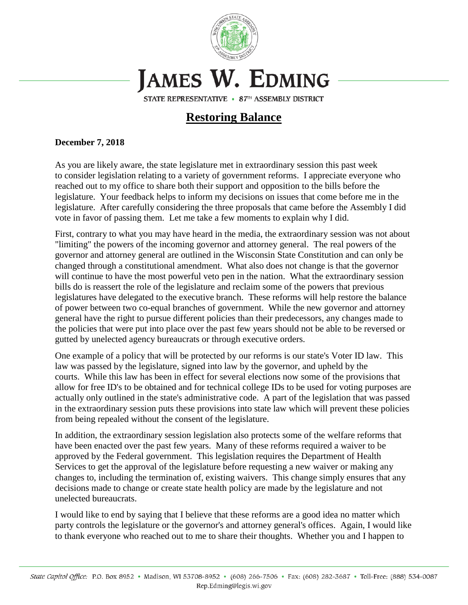

## JAMES W. EDMING

STATE REPRESENTATIVE • 87TH ASSEMBLY DISTRICT

## **Restoring Balance**

## **December 7, 2018**

As you are likely aware, the state legislature met in extraordinary session this past week to consider legislation relating to a variety of government reforms. I appreciate everyone who reached out to my office to share both their support and opposition to the bills before the legislature. Your feedback helps to inform my decisions on issues that come before me in the legislature. After carefully considering the three proposals that came before the Assembly I did vote in favor of passing them. Let me take a few moments to explain why I did.

First, contrary to what you may have heard in the media, the extraordinary session was not about "limiting" the powers of the incoming governor and attorney general. The real powers of the governor and attorney general are outlined in the Wisconsin State Constitution and can only be changed through a constitutional amendment. What also does not change is that the governor will continue to have the most powerful veto pen in the nation. What the extraordinary session bills do is reassert the role of the legislature and reclaim some of the powers that previous legislatures have delegated to the executive branch. These reforms will help restore the balance of power between two co-equal branches of government. While the new governor and attorney general have the right to pursue different policies than their predecessors, any changes made to the policies that were put into place over the past few years should not be able to be reversed or gutted by unelected agency bureaucrats or through executive orders.

One example of a policy that will be protected by our reforms is our state's Voter ID law. This law was passed by the legislature, signed into law by the governor, and upheld by the courts. While this law has been in effect for several elections now some of the provisions that allow for free ID's to be obtained and for technical college IDs to be used for voting purposes are actually only outlined in the state's administrative code. A part of the legislation that was passed in the extraordinary session puts these provisions into state law which will prevent these policies from being repealed without the consent of the legislature.

In addition, the extraordinary session legislation also protects some of the welfare reforms that have been enacted over the past few years. Many of these reforms required a waiver to be approved by the Federal government. This legislation requires the Department of Health Services to get the approval of the legislature before requesting a new waiver or making any changes to, including the termination of, existing waivers. This change simply ensures that any decisions made to change or create state health policy are made by the legislature and not unelected bureaucrats.

I would like to end by saying that I believe that these reforms are a good idea no matter which party controls the legislature or the governor's and attorney general's offices. Again, I would like to thank everyone who reached out to me to share their thoughts. Whether you and I happen to